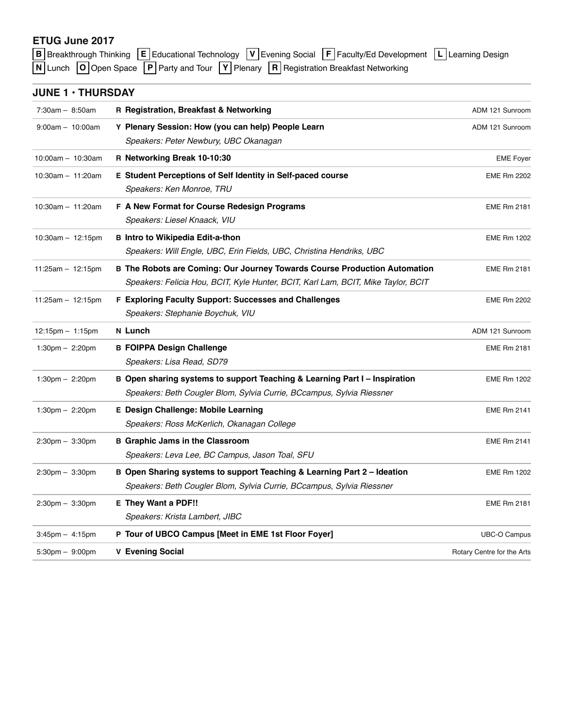## **ETUG June 2017**

| $\boxed{B}$ Breakthrough Thinking $\boxed{E}$ Educational Technology $\boxed{V}$ Evening Social $\boxed{F}$ Faculty/Ed Development $\boxed{L}$ Learning Design |  |
|----------------------------------------------------------------------------------------------------------------------------------------------------------------|--|
| $\boxed{N}$ Lunch $\boxed{O}$ Open Space $\boxed{P}$ Party and Tour $\boxed{Y}$ Plenary $\boxed{R}$ Registration Breakfast Networking                          |  |

## **JUNE 1 • THURSDAY**

| $7:30am - 8:50am$                 | R Registration, Breakfast & Networking                                            | ADM 121 Sunroom            |
|-----------------------------------|-----------------------------------------------------------------------------------|----------------------------|
|                                   |                                                                                   |                            |
| $9:00am - 10:00am$                | Y Plenary Session: How (you can help) People Learn                                | ADM 121 Sunroom            |
|                                   | Speakers: Peter Newbury, UBC Okanagan                                             |                            |
| 10:00am - 10:30am                 | R Networking Break 10-10:30                                                       | <b>EME Foyer</b>           |
| $10:30am - 11:20am$               | E Student Perceptions of Self Identity in Self-paced course                       | <b>EME Rm 2202</b>         |
|                                   | Speakers: Ken Monroe, TRU                                                         |                            |
| $10:30$ am $-11:20$ am            | F A New Format for Course Redesign Programs                                       | <b>EME Rm 2181</b>         |
|                                   | Speakers: Liesel Knaack, VIU                                                      |                            |
| $10:30am - 12:15pm$               | <b>B</b> Intro to Wikipedia Edit-a-thon                                           | <b>EME Rm 1202</b>         |
|                                   | Speakers: Will Engle, UBC, Erin Fields, UBC, Christina Hendriks, UBC              |                            |
| $11:25am - 12:15pm$               | B The Robots are Coming: Our Journey Towards Course Production Automation         | <b>EME Rm 2181</b>         |
|                                   | Speakers: Felicia Hou, BCIT, Kyle Hunter, BCIT, Karl Lam, BCIT, Mike Taylor, BCIT |                            |
| $11:25am - 12:15pm$               | F Exploring Faculty Support: Successes and Challenges                             | <b>EME Rm 2202</b>         |
|                                   | Speakers: Stephanie Boychuk, VIU                                                  |                            |
| $12:15pm - 1:15pm$                | N Lunch                                                                           | ADM 121 Sunroom            |
| $1:30 \text{pm} - 2:20 \text{pm}$ | <b>B FOIPPA Design Challenge</b>                                                  | <b>EME Rm 2181</b>         |
|                                   | Speakers: Lisa Read, SD79                                                         |                            |
| $1:30 \text{pm} - 2:20 \text{pm}$ | B Open sharing systems to support Teaching & Learning Part I - Inspiration        | <b>EME Rm 1202</b>         |
|                                   | Speakers: Beth Cougler Blom, Sylvia Currie, BCcampus, Sylvia Riessner             |                            |
| 1:30pm $-$ 2:20pm                 | E Design Challenge: Mobile Learning                                               | <b>EME Rm 2141</b>         |
|                                   | Speakers: Ross McKerlich, Okanagan College                                        |                            |
| $2:30 \text{pm} - 3:30 \text{pm}$ | <b>B</b> Graphic Jams in the Classroom                                            | <b>EME Rm 2141</b>         |
|                                   | Speakers: Leva Lee, BC Campus, Jason Toal, SFU                                    |                            |
| 2:30pm - 3:30pm                   | B Open Sharing systems to support Teaching & Learning Part 2 - Ideation           | <b>EME Rm 1202</b>         |
|                                   | Speakers: Beth Cougler Blom, Sylvia Currie, BCcampus, Sylvia Riessner             |                            |
| $2:30 \text{pm} - 3:30 \text{pm}$ | <b>E They Want a PDF!!</b>                                                        | <b>EME Rm 2181</b>         |
|                                   | Speakers: Krista Lambert, JIBC                                                    |                            |
| $3:45$ pm $-4:15$ pm              | P Tour of UBCO Campus [Meet in EME 1st Floor Foyer]                               | <b>UBC-O Campus</b>        |
| 5:30pm - 9:00pm                   | <b>V</b> Evening Social                                                           | Rotary Centre for the Arts |
|                                   |                                                                                   |                            |